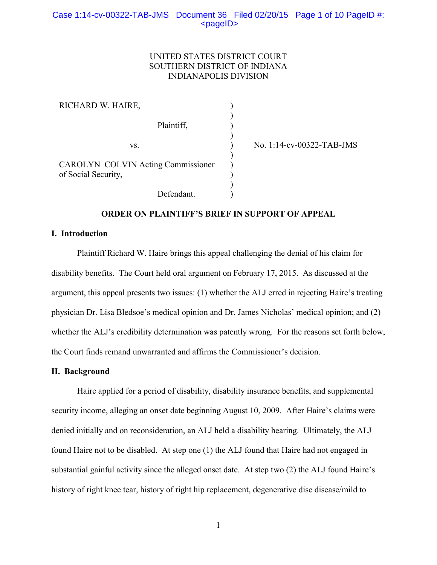## UNITED STATES DISTRICT COURT SOUTHERN DISTRICT OF INDIANA INDIANAPOLIS DIVISION

) ) ) ) ) ) ) ) ) )

| RICHARD W. HAIRE,   |                                           |
|---------------------|-------------------------------------------|
|                     | Plaintiff,                                |
|                     | VS.                                       |
| of Social Security, | <b>CAROLYN COLVIN Acting Commissioner</b> |
|                     | Defendant.                                |

No. 1:14-cv-00322-TAB-JMS

# **ORDER ON PLAINTIFF'S BRIEF IN SUPPORT OF APPEAL**

### **I. Introduction**

Plaintiff Richard W. Haire brings this appeal challenging the denial of his claim for disability benefits. The Court held oral argument on February 17, 2015. As discussed at the argument, this appeal presents two issues: (1) whether the ALJ erred in rejecting Haire's treating physician Dr. Lisa Bledsoe's medical opinion and Dr. James Nicholas' medical opinion; and (2) whether the ALJ's credibility determination was patently wrong. For the reasons set forth below, the Court finds remand unwarranted and affirms the Commissioner's decision.

### **II. Background**

Haire applied for a period of disability, disability insurance benefits, and supplemental security income, alleging an onset date beginning August 10, 2009. After Haire's claims were denied initially and on reconsideration, an ALJ held a disability hearing. Ultimately, the ALJ found Haire not to be disabled. At step one (1) the ALJ found that Haire had not engaged in substantial gainful activity since the alleged onset date. At step two (2) the ALJ found Haire's history of right knee tear, history of right hip replacement, degenerative disc disease/mild to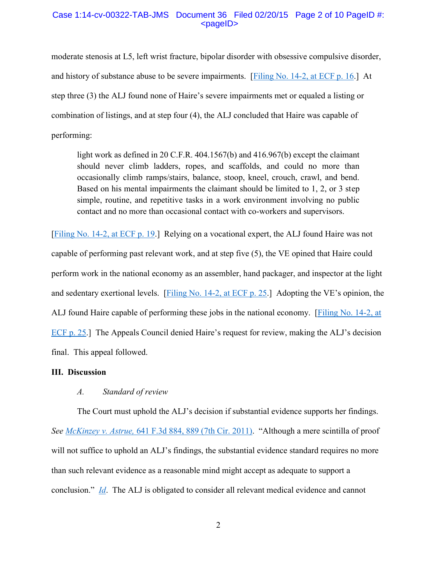## Case 1:14-cv-00322-TAB-JMS Document 36 Filed 02/20/15 Page 2 of 10 PageID #: <pageID>

moderate stenosis at L5, left wrist fracture, bipolar disorder with obsessive compulsive disorder, and history of substance abuse to be severe impairments. [\[Filing No. 14-2, at ECF p. 16.](https://ecf.insd.uscourts.gov/doc1/07314345742?page=16)] At step three (3) the ALJ found none of Haire's severe impairments met or equaled a listing or combination of listings, and at step four (4), the ALJ concluded that Haire was capable of performing:

light work as defined in 20 C.F.R. 404.1567(b) and 416.967(b) except the claimant should never climb ladders, ropes, and scaffolds, and could no more than occasionally climb ramps/stairs, balance, stoop, kneel, crouch, crawl, and bend. Based on his mental impairments the claimant should be limited to 1, 2, or 3 step simple, routine, and repetitive tasks in a work environment involving no public contact and no more than occasional contact with co-workers and supervisors.

[\[Filing No. 14-2, at ECF p. 19.](https://ecf.insd.uscourts.gov/doc1/07314345742?page=19)] Relying on a vocational expert, the ALJ found Haire was not capable of performing past relevant work, and at step five (5), the VE opined that Haire could perform work in the national economy as an assembler, hand packager, and inspector at the light and sedentary exertional levels. [\[Filing No. 14-2, at ECF p. 25](https://ecf.insd.uscourts.gov/doc1/07314345742?page=25).] Adopting the VE's opinion, the ALJ found Haire capable of performing these jobs in the national economy. [\[Filing No. 14-2, at](https://ecf.insd.uscourts.gov/doc1/07314345742?page=25)  [ECF p. 25.](https://ecf.insd.uscourts.gov/doc1/07314345742?page=25)] The Appeals Council denied Haire's request for review, making the ALJ's decision final. This appeal followed.

### **III. Discussion**

# *A. Standard of review*

The Court must uphold the ALJ's decision if substantial evidence supports her findings. *See McKinzey v. Astrue,* [641 F.3d 884, 889 \(7th Cir. 2011\)](https://a.next.westlaw.com/Document/I8eca31358dfe11e0a8a2938374af9660/View/FullText.html?transitionType=UniqueDocItem&contextData=(sc.Default)&userEnteredCitation=641+F.3d+884). "Although a mere scintilla of proof will not suffice to uphold an ALJ's findings, the substantial evidence standard requires no more than such relevant evidence as a reasonable mind might accept as adequate to support a conclusion." *[Id](https://a.next.westlaw.com/Document/I8eca31358dfe11e0a8a2938374af9660/View/FullText.html?transitionType=UniqueDocItem&contextData=(sc.Default)&userEnteredCitation=641+F.3d+884)*. The ALJ is obligated to consider all relevant medical evidence and cannot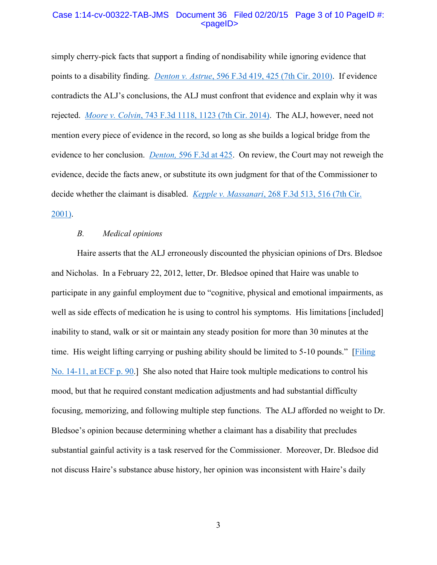## Case 1:14-cv-00322-TAB-JMS Document 36 Filed 02/20/15 Page 3 of 10 PageID #: <pageID>

simply cherry-pick facts that support a finding of nondisability while ignoring evidence that points to a disability finding. *Denton v. Astrue*[, 596 F.3d 419, 425 \(7th Cir. 2010\).](https://a.next.westlaw.com/Document/Icef44f5421e111df9988d233d23fe599/View/FullText.html?transitionType=UniqueDocItem&contextData=(sc.UserEnteredCitation)&userEnteredCitation=596+F.3d+419) If evidence contradicts the ALJ's conclusions, the ALJ must confront that evidence and explain why it was rejected. *Moore v. Colvin*[, 743 F.3d 1118, 1123 \(7th Cir. 2014\).](https://a.next.westlaw.com/Document/Ia567c6719fdc11e381b8b0e9e015e69e/View/FullText.html?transitionType=UniqueDocItem&contextData=(sc.UserEnteredCitation)&userEnteredCitation=743+F.3d+1118) The ALJ, however, need not mention every piece of evidence in the record, so long as she builds a logical bridge from the evidence to her conclusion. *Denton,* [596 F.3d at 425.](https://a.next.westlaw.com/Document/Icef44f5421e111df9988d233d23fe599/View/FullText.html?transitionType=UniqueDocItem&contextData=(sc.UserEnteredCitation)&userEnteredCitation=596+F.3d+419) On review, the Court may not reweigh the evidence, decide the facts anew, or substitute its own judgment for that of the Commissioner to decide whether the claimant is disabled. *Kepple v. Massanari*[, 268 F.3d 513, 516 \(7th Cir.](https://a.next.westlaw.com/Document/Ia966c05079c211d98c82a53fc8ac8757/View/FullText.html?transitionType=UniqueDocItem&contextData=(sc.UserEnteredCitation)&userEnteredCitation=268+F.3d+513)  [2001\).](https://a.next.westlaw.com/Document/Ia966c05079c211d98c82a53fc8ac8757/View/FullText.html?transitionType=UniqueDocItem&contextData=(sc.UserEnteredCitation)&userEnteredCitation=268+F.3d+513)

#### *B. Medical opinions*

Haire asserts that the ALJ erroneously discounted the physician opinions of Drs. Bledsoe and Nicholas. In a February 22, 2012, letter, Dr. Bledsoe opined that Haire was unable to participate in any gainful employment due to "cognitive, physical and emotional impairments, as well as side effects of medication he is using to control his symptoms. His limitations [included] inability to stand, walk or sit or maintain any steady position for more than 30 minutes at the time. His weight lifting carrying or pushing ability should be limited to 5-10 pounds." [[Filing](https://ecf.insd.uscourts.gov/doc1/07314345751?page=90)  [No. 14-11, at ECF p. 90.](https://ecf.insd.uscourts.gov/doc1/07314345751?page=90)] She also noted that Haire took multiple medications to control his mood, but that he required constant medication adjustments and had substantial difficulty focusing, memorizing, and following multiple step functions. The ALJ afforded no weight to Dr. Bledsoe's opinion because determining whether a claimant has a disability that precludes substantial gainful activity is a task reserved for the Commissioner. Moreover, Dr. Bledsoe did not discuss Haire's substance abuse history, her opinion was inconsistent with Haire's daily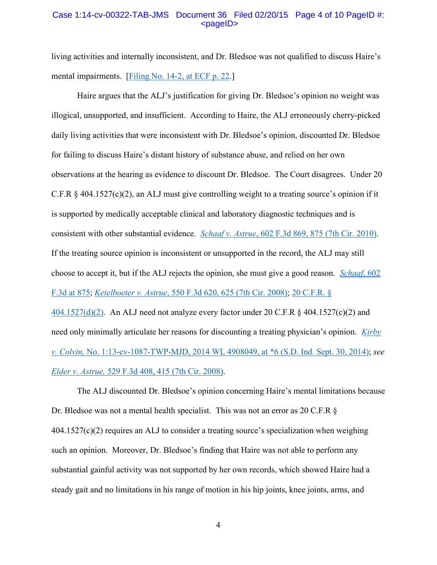### Case 1:14-cv-00322-TAB-JMS Document 36 Filed 02/20/15 Page 4 of 10 PageID #: <pageID>

living activities and internally inconsistent, and Dr. Bledsoe was not qualified to discuss Haire's mental impairments. [\[Filing No. 14-2, at ECF p. 22.](https://ecf.insd.uscourts.gov/doc1/07314345742?page=22)]

Haire argues that the ALJ's justification for giving Dr. Bledsoe's opinion no weight was illogical, unsupported, and insufficient. According to Haire, the ALJ erroneously cherry-picked daily living activities that were inconsistent with Dr. Bledsoe's opinion, discounted Dr. Bledsoe for failing to discuss Haire's distant history of substance abuse, and relied on her own observations at the hearing as evidence to discount Dr. Bledsoe. The Court disagrees. Under 20 C.F.R § 404.1527(c)(2), an ALJ must give controlling weight to a treating source's opinion if it is supported by medically acceptable clinical and laboratory diagnostic techniques and is consistent with other substantial evidence. *Schaaf v. Astrue*[, 602 F.3d 869, 875 \(7th Cir. 2010\).](https://a.next.westlaw.com/Document/If8409b2c513e11dfae65b23e804c3c12/View/FullText.html?transitionType=UniqueDocItem&contextData=(sc.UserEnteredCitation)&userEnteredCitation=602+F.3d+869) If the treating source opinion is inconsistent or unsupported in the record, the ALJ may still choose to accept it, but if the ALJ rejects the opinion, she must give a good reason. *[Schaaf](https://a.next.westlaw.com/Document/If8409b2c513e11dfae65b23e804c3c12/View/FullText.html?transitionType=UniqueDocItem&contextData=(sc.UserEnteredCitation)&userEnteredCitation=602+F.3d+869)*, 602 [F.3d at 875;](https://a.next.westlaw.com/Document/If8409b2c513e11dfae65b23e804c3c12/View/FullText.html?transitionType=UniqueDocItem&contextData=(sc.UserEnteredCitation)&userEnteredCitation=602+F.3d+869) *Ketelboeter v. Astrue*[, 550 F.3d 620, 625 \(7th Cir. 2008\);](https://a.next.westlaw.com/Document/Ic7f34df3cab711ddb7e683ba170699a5/View/FullText.html?transitionType=UniqueDocItem&contextData=(sc.UserEnteredCitation)&userEnteredCitation=550+F.3d+620) [20 C.F.R. §](https://a.next.westlaw.com/Document/N9A7758B1EE2C11E1A356972833AB5EA1/View/FullText.html?transitionType=UniqueDocItem&contextData=(sc.UserEnteredCitation)&userEnteredCitation=20+C.F.R.+%c2%a7+404.1527)   $404.1527(d)(2)$ . An ALJ need not analyze every factor under 20 C.F.R  $\&$  404.1527(c)(2) and need only minimally articulate her reasons for discounting a treating physician's opinion. *[Kirby](https://a.next.westlaw.com/Document/I386d8b994a1111e4b86bd602cb8781fa/View/FullText.html?transitionType=UniqueDocItem&contextData=(sc.UserEnteredCitation)&userEnteredCitation=2014+WL+4908049)  v. Colvin,* [No. 1:13-cv-1087-TWP-MJD, 2014 WL 4908049, at \\*6 \(S.D. Ind. Sept. 30, 2014\);](https://a.next.westlaw.com/Document/I386d8b994a1111e4b86bd602cb8781fa/View/FullText.html?transitionType=UniqueDocItem&contextData=(sc.UserEnteredCitation)&userEnteredCitation=2014+WL+4908049) *see* 

*Elder v. Astrue,* [529 F.3d 408, 415 \(7th Cir. 2008\).](https://a.next.westlaw.com/Document/I01f6af873be011ddb595a478de34cd72/View/FullText.html?transitionType=UniqueDocItem&contextData=(sc.UserEnteredCitation)&userEnteredCitation=529+F.3d+408)

The ALJ discounted Dr. Bledsoe's opinion concerning Haire's mental limitations because Dr. Bledsoe was not a mental health specialist. This was not an error as 20 C.F.R §  $404.1527(c)(2)$  requires an ALJ to consider a treating source's specialization when weighing such an opinion. Moreover, Dr. Bledsoe's finding that Haire was not able to perform any substantial gainful activity was not supported by her own records, which showed Haire had a steady gait and no limitations in his range of motion in his hip joints, knee joints, arms, and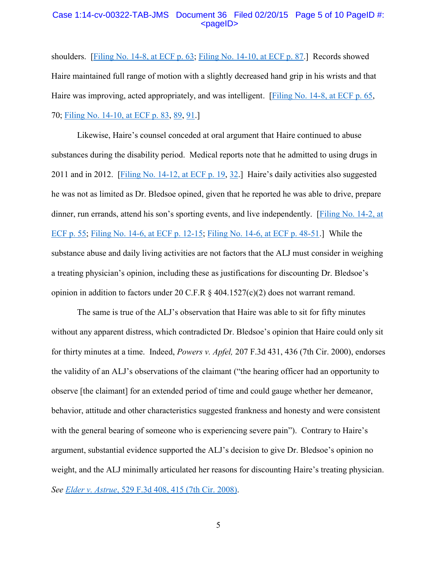#### Case 1:14-cv-00322-TAB-JMS Document 36 Filed 02/20/15 Page 5 of 10 PageID #: <pageID>

shoulders. [\[Filing No. 14-8, at ECF p. 63;](https://ecf.insd.uscourts.gov/doc1/07314345748?page=63) [Filing No. 14-10, at ECF p. 87.](https://ecf.insd.uscourts.gov/doc1/07314345750?page=87)] Records showed Haire maintained full range of motion with a slightly decreased hand grip in his wrists and that Haire was improving, acted appropriately, and was intelligent. [\[Filing No. 14-8, at ECF p. 65,](https://ecf.insd.uscourts.gov/doc1/07314345748?page=65) 70; [Filing No. 14-10, at ECF p. 83,](https://ecf.insd.uscourts.gov/doc1/07314345750?page=83) [89,](https://ecf.insd.circ7.dcn/doc1/07314345750#page=89) [91.](https://ecf.insd.circ7.dcn/doc1/07314345750#page=91)]

Likewise, Haire's counsel conceded at oral argument that Haire continued to abuse substances during the disability period. Medical reports note that he admitted to using drugs in 2011 and in 2012. [\[Filing No. 14-12, at ECF p. 19,](https://ecf.insd.uscourts.gov/doc1/07314345752?page=19) [32.](https://ecf.insd.circ7.dcn/doc1/07314345752#page=32)] Haire's daily activities also suggested he was not as limited as Dr. Bledsoe opined, given that he reported he was able to drive, prepare dinner, run errands, attend his son's sporting events, and live independently. [\[Filing No. 14-2, at](https://ecf.insd.uscourts.gov/doc1/07314345742?page=55)  [ECF p. 55;](https://ecf.insd.uscourts.gov/doc1/07314345742?page=55) [Filing No. 14-6, at ECF p. 12-15;](https://ecf.insd.uscourts.gov/doc1/07314345746?page=12) [Filing No. 14-6, at ECF p. 48-51.](https://ecf.insd.uscourts.gov/doc1/07314345746?page=48)] While the substance abuse and daily living activities are not factors that the ALJ must consider in weighing a treating physician's opinion, including these as justifications for discounting Dr. Bledsoe's opinion in addition to factors under 20 C.F.R § 404.1527(c)(2) does not warrant remand.

The same is true of the ALJ's observation that Haire was able to sit for fifty minutes without any apparent distress, which contradicted Dr. Bledsoe's opinion that Haire could only sit for thirty minutes at a time. Indeed, *Powers v. Apfel,* 207 F.3d 431, 436 (7th Cir. 2000), endorses the validity of an ALJ's observations of the claimant ("the hearing officer had an opportunity to observe [the claimant] for an extended period of time and could gauge whether her demeanor, behavior, attitude and other characteristics suggested frankness and honesty and were consistent with the general bearing of someone who is experiencing severe pain"). Contrary to Haire's argument, substantial evidence supported the ALJ's decision to give Dr. Bledsoe's opinion no weight, and the ALJ minimally articulated her reasons for discounting Haire's treating physician. *See Elder v. Astrue*[, 529 F.3d 408, 415 \(7th Cir. 2008\).](https://a.next.westlaw.com/Document/I01f6af873be011ddb595a478de34cd72/View/FullText.html?transitionType=UniqueDocItem&contextData=(sc.UserEnteredCitation)&userEnteredCitation=529+F.3d+408)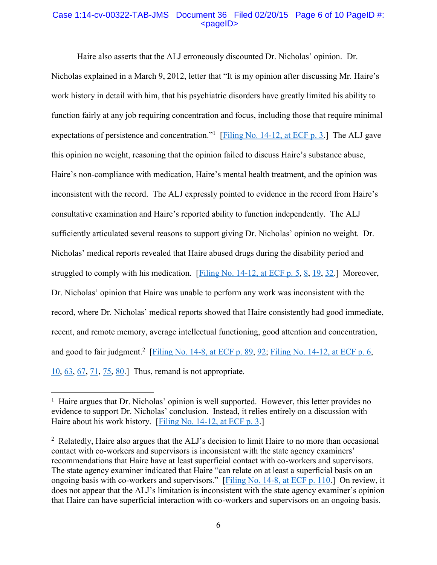## Case 1:14-cv-00322-TAB-JMS Document 36 Filed 02/20/15 Page 6 of 10 PageID #: <pageID>

Haire also asserts that the ALJ erroneously discounted Dr. Nicholas' opinion. Dr. Nicholas explained in a March 9, 2012, letter that "It is my opinion after discussing Mr. Haire's work history in detail with him, that his psychiatric disorders have greatly limited his ability to function fairly at any job requiring concentration and focus, including those that require minimal expectations of persistence and concentration."<sup>1</sup> [Filing [No. 14-12, at ECF p. 3.](https://ecf.insd.uscourts.gov/doc1/07314345752?page=3)] The ALJ gave this opinion no weight, reasoning that the opinion failed to discuss Haire's substance abuse, Haire's non-compliance with medication, Haire's mental health treatment, and the opinion was inconsistent with the record. The ALJ expressly pointed to evidence in the record from Haire's consultative examination and Haire's reported ability to function independently. The ALJ sufficiently articulated several reasons to support giving Dr. Nicholas' opinion no weight. Dr. Nicholas' medical reports revealed that Haire abused drugs during the disability period and struggled to comply with his medication. [\[Filing No. 14-12, at ECF p. 5,](https://ecf.insd.uscourts.gov/doc1/07314345752?page=5) [8,](https://ecf.insd.circ7.dcn/doc1/07314345752#page=8) [19,](https://ecf.insd.circ7.dcn/doc1/07314345752#page=19) [32.](https://ecf.insd.circ7.dcn/doc1/07314345752#page=32)] Moreover, Dr. Nicholas' opinion that Haire was unable to perform any work was inconsistent with the record, where Dr. Nicholas' medical reports showed that Haire consistently had good immediate, recent, and remote memory, average intellectual functioning, good attention and concentration, and good to fair judgment.<sup>2</sup> [\[Filing No. 14-8, at ECF p. 89,](https://ecf.insd.uscourts.gov/doc1/07314345748?page=89) [92;](https://ecf.insd.circ7.dcn/doc1/07314345748#page=92) [Filing No. 14-12, at ECF p. 6,](https://ecf.insd.uscourts.gov/doc1/07314345752?page=6) [10,](https://ecf.insd.circ7.dcn/doc1/07314345752#page=10) [63,](https://ecf.insd.circ7.dcn/doc1/07314345752#page=63) [67,](https://ecf.insd.circ7.dcn/doc1/07314345752#page=67) [71,](https://ecf.insd.circ7.dcn/doc1/07314345752#page=71) [75,](https://ecf.insd.circ7.dcn/doc1/07314345752#page=75) [80.](https://ecf.insd.circ7.dcn/doc1/07314345752#page=80)] Thus, remand is not appropriate.

l

<sup>&</sup>lt;sup>1</sup> Haire argues that Dr. Nicholas' opinion is well supported. However, this letter provides no evidence to support Dr. Nicholas' conclusion. Instead, it relies entirely on a discussion with Haire about his work history. [\[Filing No. 14-12, at ECF p. 3.](https://ecf.insd.uscourts.gov/doc1/07314345752?page=3)]

<sup>2</sup> Relatedly, Haire also argues that the ALJ's decision to limit Haire to no more than occasional contact with co-workers and supervisors is inconsistent with the state agency examiners' recommendations that Haire have at least superficial contact with co-workers and supervisors. The state agency examiner indicated that Haire "can relate on at least a superficial basis on an ongoing basis with co-workers and supervisors." [[Filing No. 14-8, at ECF p. 110.](https://ecf.insd.uscourts.gov/doc1/07314345748?page=110)] On review, it does not appear that the ALJ's limitation is inconsistent with the state agency examiner's opinion that Haire can have superficial interaction with co-workers and supervisors on an ongoing basis.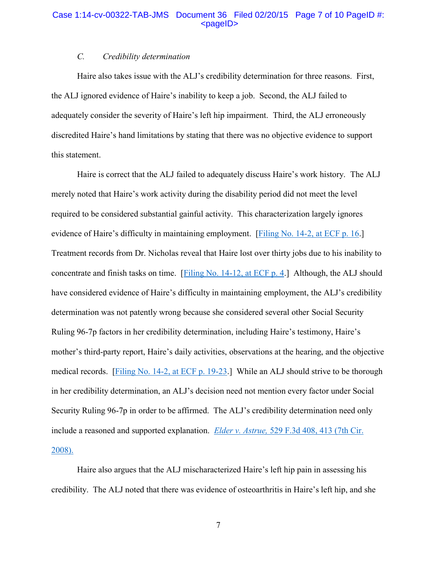## Case 1:14-cv-00322-TAB-JMS Document 36 Filed 02/20/15 Page 7 of 10 PageID #: <pageID>

# *C. Credibility determination*

Haire also takes issue with the ALJ's credibility determination for three reasons. First, the ALJ ignored evidence of Haire's inability to keep a job. Second, the ALJ failed to adequately consider the severity of Haire's left hip impairment. Third, the ALJ erroneously discredited Haire's hand limitations by stating that there was no objective evidence to support this statement.

Haire is correct that the ALJ failed to adequately discuss Haire's work history. The ALJ merely noted that Haire's work activity during the disability period did not meet the level required to be considered substantial gainful activity. This characterization largely ignores evidence of Haire's difficulty in maintaining employment. [\[Filing No. 14-2, at ECF p. 16.](https://ecf.insd.uscourts.gov/doc1/07314345742?page=16)] Treatment records from Dr. Nicholas reveal that Haire lost over thirty jobs due to his inability to concentrate and finish tasks on time. [\[Filing No. 14-12, at ECF p. 4.](https://ecf.insd.uscourts.gov/doc1/07314345752?page=4)] Although, the ALJ should have considered evidence of Haire's difficulty in maintaining employment, the ALJ's credibility determination was not patently wrong because she considered several other Social Security Ruling 96-7p factors in her credibility determination, including Haire's testimony, Haire's mother's third-party report, Haire's daily activities, observations at the hearing, and the objective medical records. [\[Filing No. 14-2, at ECF p. 19-23.](https://ecf.insd.uscourts.gov/doc1/07314345742?page=19)] While an ALJ should strive to be thorough in her credibility determination, an ALJ's decision need not mention every factor under Social Security Ruling 96-7p in order to be affirmed. The ALJ's credibility determination need only include a reasoned and supported explanation. *Elder v. Astrue,* [529 F.3d 408, 413 \(7th Cir.](https://a.next.westlaw.com/Document/I01f6af873be011ddb595a478de34cd72/View/FullText.html?transitionType=UniqueDocItem&contextData=(sc.UserEnteredCitation)&userEnteredCitation=529+F.3d+408)  [2008\).](https://a.next.westlaw.com/Document/I01f6af873be011ddb595a478de34cd72/View/FullText.html?transitionType=UniqueDocItem&contextData=(sc.UserEnteredCitation)&userEnteredCitation=529+F.3d+408)

Haire also argues that the ALJ mischaracterized Haire's left hip pain in assessing his credibility. The ALJ noted that there was evidence of osteoarthritis in Haire's left hip, and she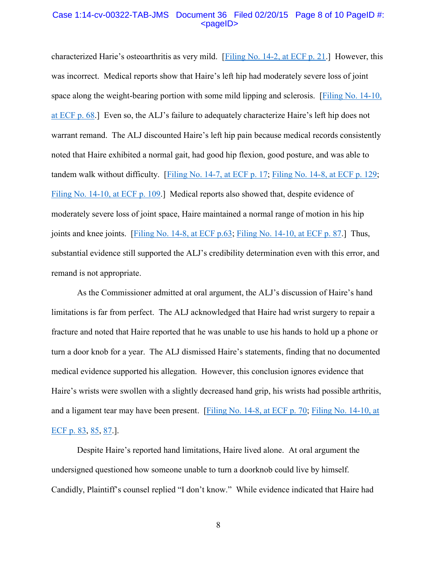#### Case 1:14-cv-00322-TAB-JMS Document 36 Filed 02/20/15 Page 8 of 10 PageID #: <pageID>

characterized Harie's osteoarthritis as very mild. [[Filing No. 14-2, at ECF p. 21.](https://ecf.insd.uscourts.gov/doc1/07314345742?page=21)] However, this was incorrect. Medical reports show that Haire's left hip had moderately severe loss of joint space along the weight-bearing portion with some mild lipping and sclerosis. [Filing No. 14-10,] [at ECF p. 68.](https://ecf.insd.uscourts.gov/doc1/07314345750?page=68)] Even so, the ALJ's failure to adequately characterize Haire's left hip does not warrant remand. The ALJ discounted Haire's left hip pain because medical records consistently noted that Haire exhibited a normal gait, had good hip flexion, good posture, and was able to tandem walk without difficulty. [\[Filing No. 14-7, at](https://ecf.insd.uscourts.gov/doc1/07314345747?page=17) ECF p. 17; [Filing No. 14-8, at ECF p. 129;](https://ecf.insd.uscourts.gov/doc1/07314345748?page=129) [Filing No. 14-10, at ECF p. 109.](https://ecf.insd.uscourts.gov/doc1/07314345750?page=109)] Medical reports also showed that, despite evidence of moderately severe loss of joint space, Haire maintained a normal range of motion in his hip joints and knee joints. [\[Filing No. 14-8, at ECF p.63;](https://ecf.insd.uscourts.gov/doc1/07314345748?page=63) [Filing No. 14-10, at ECF p. 87.](https://ecf.insd.uscourts.gov/doc1/07314345750?page=87)] Thus, substantial evidence still supported the ALJ's credibility determination even with this error, and remand is not appropriate.

As the Commissioner admitted at oral argument, the ALJ's discussion of Haire's hand limitations is far from perfect. The ALJ acknowledged that Haire had wrist surgery to repair a fracture and noted that Haire reported that he was unable to use his hands to hold up a phone or turn a door knob for a year. The ALJ dismissed Haire's statements, finding that no documented medical evidence supported his allegation. However, this conclusion ignores evidence that Haire's wrists were swollen with a slightly decreased hand grip, his wrists had possible arthritis, and a ligament tear may have been present. [\[Filing No. 14-8, at ECF p. 70;](https://ecf.insd.uscourts.gov/doc1/07314345748?page=70) Filing [No. 14-10, at](https://ecf.insd.uscourts.gov/doc1/07314345750?page=83)  [ECF p. 83,](https://ecf.insd.uscourts.gov/doc1/07314345750?page=83) [85,](https://ecf.insd.circ7.dcn/doc1/07314345750#page=85) [87.](https://ecf.insd.circ7.dcn/doc1/07314345750#page=87)].

Despite Haire's reported hand limitations, Haire lived alone. At oral argument the undersigned questioned how someone unable to turn a doorknob could live by himself. Candidly, Plaintiff's counsel replied "I don't know." While evidence indicated that Haire had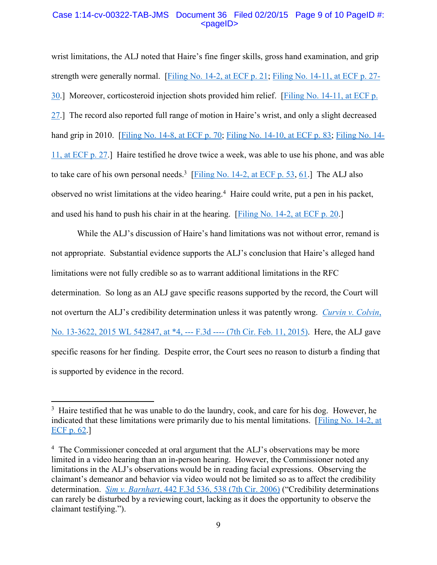# Case 1:14-cv-00322-TAB-JMS Document 36 Filed 02/20/15 Page 9 of 10 PageID #: <pageID>

wrist limitations, the ALJ noted that Haire's fine finger skills, gross hand examination, and grip strength were generally normal. [\[Filing No. 14-2, at ECF p. 21;](https://ecf.insd.uscourts.gov/doc1/07314345742?page=21) [Filing No. 14-11, at ECF p. 27-](https://ecf.insd.uscourts.gov/doc1/07314345751?page=27) [30.](https://ecf.insd.uscourts.gov/doc1/07314345751?page=27)] Moreover, corticosteroid injection shots provided him relief. [\[Filing No. 14-11, at ECF p.](https://ecf.insd.uscourts.gov/doc1/07314345751?page=27)  [27.](https://ecf.insd.uscourts.gov/doc1/07314345751?page=27)] The record also reported full range of motion in Haire's wrist, and only a slight decreased hand grip in 2010. [\[Filing No. 14-8, at ECF p. 70;](https://ecf.insd.uscourts.gov/doc1/07314345748?page=70) [Filing No. 14-10, at ECF p. 83;](https://ecf.insd.uscourts.gov/doc1/07314345750?page=83) [Filing No. 14-](https://ecf.insd.uscourts.gov/doc1/07314345751?page=27) [11, at ECF p. 27.](https://ecf.insd.uscourts.gov/doc1/07314345751?page=27)] Haire testified he drove twice a week, was able to use his phone, and was able to take care of his own personal needs.<sup>3</sup> [\[Filing No. 14-2, at ECF p. 53,](https://ecf.insd.uscourts.gov/doc1/07314345742?page=53) [61.](https://ecf.insd.circ7.dcn/doc1/07314345742#page=61)] The ALJ also observed no wrist limitations at the video hearing.<sup>4</sup> Haire could write, put a pen in his packet, and used his hand to push his chair in at the hearing. [\[Filing No. 14-2, at ECF p. 20.](https://ecf.insd.uscourts.gov/doc1/07314345742?page=20)]

While the ALJ's discussion of Haire's hand limitations was not without error, remand is not appropriate. Substantial evidence supports the ALJ's conclusion that Haire's alleged hand limitations were not fully credible so as to warrant additional limitations in the RFC determination. So long as an ALJ gave specific reasons supported by the record, the Court will not overturn the ALJ's credibility determination unless it was patently wrong. *[Curvin v. Colvin](https://a.next.westlaw.com/Document/Ic6ddc259b1f611e4a795ac035416da91/View/FullText.html?transitionType=UniqueDocItem&contextData=(sc.UserEnteredCitation)&userEnteredCitation=2015+WL+542847)*, [No. 13-3622, 2015 WL 542847, at \\*4, ---](https://a.next.westlaw.com/Document/Ic6ddc259b1f611e4a795ac035416da91/View/FullText.html?transitionType=UniqueDocItem&contextData=(sc.UserEnteredCitation)&userEnteredCitation=2015+WL+542847) F.3d ---- (7th Cir. Feb. 11, 2015). Here, the ALJ gave specific reasons for her finding. Despite error, the Court sees no reason to disturb a finding that is supported by evidence in the record.

 $\overline{\phantom{a}}$ 

<sup>&</sup>lt;sup>3</sup> Haire testified that he was unable to do the laundry, cook, and care for his dog. However, he indicated that these limitations were primarily due to his mental limitations. [\[Filing No. 14-2, at](https://ecf.insd.uscourts.gov/doc1/07314345742?page=62)  [ECF p. 62.](https://ecf.insd.uscourts.gov/doc1/07314345742?page=62)]

<sup>&</sup>lt;sup>4</sup> The Commissioner conceded at oral argument that the ALJ's observations may be more limited in a video hearing than an in-person hearing. However, the Commissioner noted any limitations in the ALJ's observations would be in reading facial expressions. Observing the claimant's demeanor and behavior via video would not be limited so as to affect the credibility determination. *Sim v. Barnhart*[, 442 F.3d 536, 538 \(7th Cir. 2006\)](https://a.next.westlaw.com/Document/I75879f36b9c111dab6b19d807577f4c3/View/FullText.html?transitionType=UniqueDocItem&contextData=(sc.UserEnteredCitation)&userEnteredCitation=442+F.3d+536) ("Credibility determinations can rarely be disturbed by a reviewing court, lacking as it does the opportunity to observe the claimant testifying.").